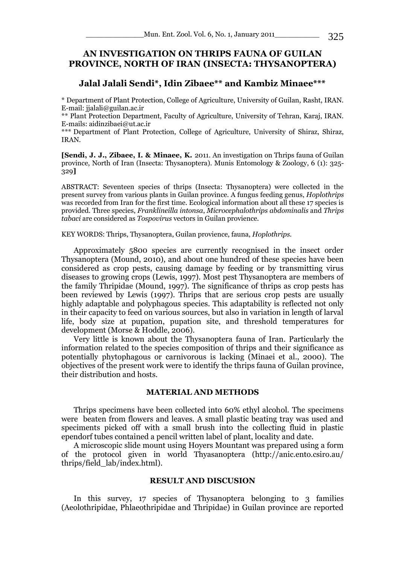# **AN INVESTIGATION ON THRIPS FAUNA OF GUILAN PROVINCE, NORTH OF IRAN (INSECTA: THYSANOPTERA)**

## **Jalal Jalali Sendi\*, Idin Zibaee\*\* and Kambiz Minaee\*\*\***

\* Department of Plant Protection, College of Agriculture, University of Guilan, Rasht, IRAN. E-mail: jjalali@guilan.ac.ir

\*\* Plant Protection Department, Faculty of Agriculture, University of Tehran, Karaj, IRAN. E-mails: aidinzibaei@ut.ac.ir

\*\*\* Department of Plant Protection, College of Agriculture, University of Shiraz, Shiraz, IRAN.

**[Sendi, J. J., Zibaee, I. & Minaee, K.** 2011. An investigation on Thrips fauna of Guilan province, North of Iran (Insecta: Thysanoptera). Munis Entomology & Zoology, 6 (1): 325- 329**]**

ABSTRACT: Seventeen species of thrips (Insecta: Thysanoptera) were collected in the present survey from various plants in Guilan province. A fungus feeding genus, *Hoplothrips* was recorded from Iran for the first time. Ecological information about all these 17 species is provided. Three species, *Franklineilla intonsa*, *Microcephalothrips abdominalis* and *Thrips tabaci* are considered as *Tospovirus* vectors in Guilan provience.

#### KEY WORDS: Thrips, Thysanoptera, Guilan provience, fauna, *Hoplothrips.*

Approximately 5800 species are currently recognised in the insect order Thysanoptera (Mound, 2010), and about one hundred of these species have been considered as crop pests, causing damage by feeding or by transmitting virus diseases to growing crops (Lewis, 1997). Most pest Thysanoptera are members of the family Thripidae (Mound, 1997). The significance of thrips as crop pests has been reviewed by Lewis (1997). Thrips that are serious crop pests are usually highly adaptable and polyphagous species. This adaptability is reflected not only in their capacity to feed on various sources, but also in variation in length of larval life, body size at pupation, pupation site, and threshold temperatures for development (Morse & Hoddle, 2006).

Very little is known about the Thysanoptera fauna of Iran. Particularly the information related to the species composition of thrips and their significance as potentially phytophagous or carnivorous is lacking (Minaei et al., 2000). The objectives of the present work were to identify the thrips fauna of Guilan province, their distribution and hosts.

### **MATERIAL AND METHODS**

Thrips specimens have been collected into 60% ethyl alcohol. The specimens were beaten from flowers and leaves. A small plastic beating tray was used and speciments picked off with a small brush into the collecting fluid in plastic ependorf tubes contained a pencil written label of plant, locality and date.

A microscopic slide mount using Hoyers Mountant was prepared using a form of the protocol given in world Thyasanoptera (http://anic.ento.csiro.au/ thrips/field\_lab/index.html).

## **RESULT AND DISCUSION**

In this survey, 17 species of Thysanoptera belonging to 3 families (Aeolothripidae, Phlaeothripidae and Thripidae) in Guilan province are reported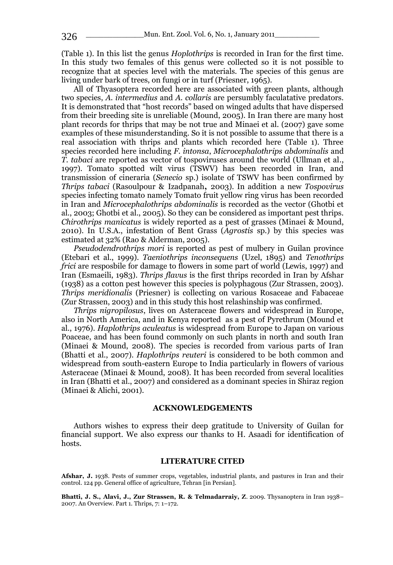(Table 1). In this list the genus *Hoplothrips* is recorded in Iran for the first time. In this study two females of this genus were collected so it is not possible to recognize that at species level with the materials. The species of this genus are living under bark of trees, on fungi or in turf (Priesner, 1965).

All of Thyasoptera recorded here are associated with green plants, although two species, *A. intermedius* and *A. collaris* are persumbly faculatative predators. It is demonstrated that "host records" based on winged adults that have dispersed from their breeding site is unreliable (Mound, 2005). In Iran there are many host plant records for thrips that may be not true and Minaei et al. (2007) gave some examples of these misunderstanding. So it is not possible to assume that there is a real association with thrips and plants which recorded here (Table 1). Three species recorded here including *F. intonsa*, *Microcephalothrips abdominalis* and *T. tabaci* are reported as vector of tospoviruses around the world (Ullman et al., 1997). Tomato spotted wilt virus (TSWV) has been recorded in Iran, and transmission of cineraria (*Senecio* sp.) isolate of TSWV has been confirmed by *Thrips tabaci* (Rasoulpour & Izadpanah**,** 2003). In addition a new *Tospovirus*  species infecting tomato namely Tomato fruit yellow ring virus has been recorded in Iran and *Microcephalothrips abdominalis* is recorded as the vector (Ghotbi et al., 2003; Ghotbi et al., 2005). So they can be considered as important pest thrips. *Chirothrips manicatus* is widely reported as a pest of grasses (Minaei & Mound, 2010). In U.S.A., infestation of Bent Grass (*Agrostis* sp.) by this species was estimated at 32% (Rao & Alderman, 2005).

*Pseudodendrothrips mori* is reported as pest of mulbery in Guilan province (Etebari et al., 1999). *Taeniothrips inconsequens* (Uzel, 1895) and *Tenothrips frici* are resposbile for damage to flowers in some part of world (Lewis, 1997) and Iran (Esmaeili, 1983). *Thrips flavus* is the first thrips recorded in Iran by Afshar (1938) as a cotton pest however this species is polyphagous (Zur Strassen, 2003). *Thrips meridionalis* (Priesner) is collecting on various Rosaceae and Fabaceae (Zur Strassen, 2003) and in this study this host relashinship was confirmed.

*Thrips nigropilosus*, lives on Asteraceae flowers and widespread in Europe, also in North America, and in Kenya reported as a pest of Pyrethrum (Mound et al., 1976). *Haplothrips aculeatus* is widespread from Europe to Japan on various Poaceae, and has been found commonly on such plants in north and south Iran (Minaei & Mound, 2008). The species is recorded from various parts of Iran (Bhatti et al., 2007). *Haplothrips reuteri* is considered to be both common and widespread from south-eastern Europe to India particularly in flowers of various Asteraceae (Minaei & Mound, 2008). It has been recorded from several localities in Iran (Bhatti et al., 2007) and considered as a dominant species in Shiraz region (Minaei & Alichi, 2001).

### **ACKNOWLEDGEMENTS**

Authors wishes to express their deep gratitude to University of Guilan for financial support. We also express our thanks to H. Asaadi for identification of hosts.

#### **LITERATURE CITED**

**Afshar, J.** 1938. Pests of summer crops, vegetables, industrial plants, and pastures in Iran and their control. 124 pp. General office of agriculture, Tehran [in Persian].

**Bhatti, J. S., Alavi, J., Zur Strassen, R. & Telmadarraiy, Z**. 2009. Thysanoptera in Iran 1938– 2007. An Overview. Part 1. Thrips, 7: 1–172.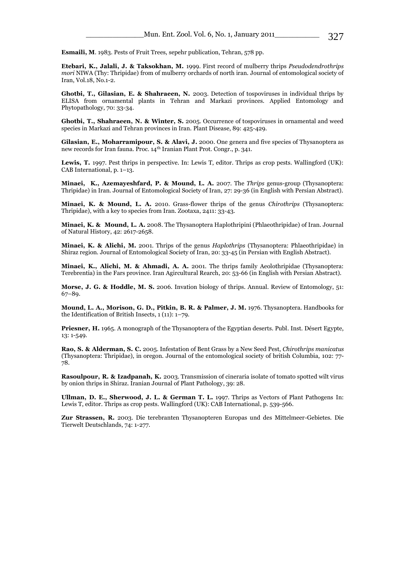**Esmaili, M**. 1983. Pests of Fruit Trees, sepehr publication, Tehran, 578 pp.

**Etebari, K., Jalali, J. & Taksokhan, M.** 1999. First record of mulberry thrips *Pseudodendrothrips mori* NIWA (Thy: Thripidae) from of mulberry orchards of north iran. Journal of entomological society of Iran, Vol.18, No.1-2.

**Ghotbi, T., Gilasian, E. & Shahraeen, N.** 2003. Detection of tospoviruses in individual thrips by ELISA from ornamental plants in Tehran and Markazi provinces. Applied Entomology and Phytopathology, 70: 33-34.

**Ghotbi, T., Shahraeen, N. & Winter, S.** 2005. Occurrence of tospoviruses in ornamental and weed species in Markazi and Tehran provinces in Iran. Plant Disease, 89: 425-429.

**Gilasian, E., Moharramipour, S. & Alavi, J.** 2000. One genera and five species of Thysanoptera as new records for Iran fauna. Proc. 14th Iranian Plant Prot. Congr., p. 341.

**Lewis, T.** 1997. Pest thrips in perspective. In: Lewis T, editor. Thrips as crop pests. Wallingford (UK): CAB International, p. 1–13.

**Minaei, K., Azemayeshfard, P. & Mound, L. A.** 2007. The *Thrips* genus-group (Thysanoptera: Thripidae) in Iran. Journal of Entomological Society of Iran, 27: 29-36 (in English with Persian Abstract).

**Minaei, K. & Mound, L. A.** 2010. Grass-flower thrips of the genus *Chirothrips* (Thysanoptera: Thripidae), with a key to species from Iran. Zootaxa, 2411: 33-43.

**Minaei, K. & Mound, L. A.** 2008. The Thysanoptera Haplothripini (Phlaeothripidae) of Iran. Journal of Natural History, 42: 2617-2658.

**Minaei, K. & Alichi, M.** 2001. Thrips of the genus *Haplothrips* (Thysanoptera: Phlaeothripidae) in Shiraz region. Journal of Entomological Society of Iran, 20: 33-45 (in Persian with English Abstract).

**Minaei, K., Alichi, M. & Ahmadi, A. A.** 2001. The thrips family Aeolothripidae (Thysanoptera: Terebrentia) in the Fars province. Iran Agircultural Rearch, 20: 53-66 (in English with Persian Abstract).

**Morse, J. G. & Hoddle, M. S.** 2006. Invation biology of thrips. Annual. Review of Entomology, 51: 67–89.

**Mound, L. A., Morison, G. D., Pitkin, B. R. & Palmer, J. M.** 1976. Thysanoptera. Handbooks for the Identification of British Insects, 1 (11): 1–79.

**Priesner, H.** 1965. A monograph of the Thysanoptera of the Egyptian deserts. Publ. Inst. Désert Egypte, 13: 1-549.

**Rao, S. & Alderman, S. C.** 2005. Infestation of Bent Grass by a New Seed Pest, *Chirothrips manicatus*  (Thysanoptera: Thripidae), in oregon. Journal of the entomological society of british Columbia, 102: 77- 78.

**Rasoulpour, R. & Izadpanah, K.** 2003. Transmission of cineraria isolate of tomato spotted wilt virus by onion thrips in Shiraz. Iranian Journal of Plant Pathology, 39: 28.

**Ullman, D. E., Sherwood, J. L. & German T. L.** 1997. Thrips as Vectors of Plant Pathogens In: Lewis T, editor. Thrips as crop pests. Wallingford (UK): CAB International, p. 539-566.

**Zur Strassen, R.** 2003. Die terebranten Thysanopteren Europas und des Mittelmeer-Gebietes. Die Tierwelt Deutschlands, 74: 1-277.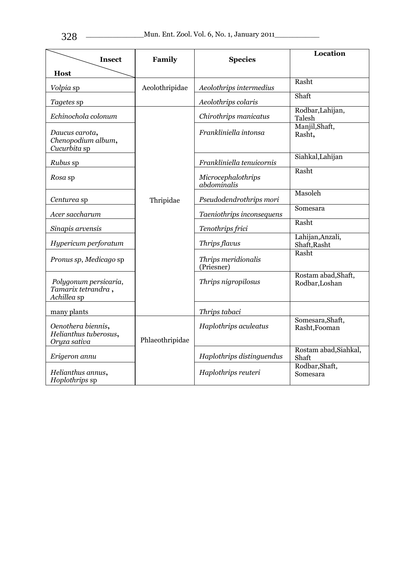|                                                             |                 |                                   | Location                              |
|-------------------------------------------------------------|-----------------|-----------------------------------|---------------------------------------|
| <b>Insect</b>                                               | Family          | <b>Species</b>                    |                                       |
| <b>Host</b>                                                 |                 |                                   |                                       |
| <i>Volpia</i> sp                                            | Aeolothripidae  | Aeolothrips intermedius           | Rasht                                 |
| <i>Tagetes</i> sp                                           |                 | Aeolothrips colaris               | Shaft                                 |
| Echinochola colonum                                         |                 | Chirothrips manicatus             | Rodbar, Lahijan,<br>Talesh            |
| Daucus carota,<br>Chenopodium album,<br>Cucurbita sp        |                 | Frankliniella intonsa             | Manjil, Shaft,<br>Rasht,              |
| Rubus sp                                                    |                 | Frankliniella tenuicornis         | Siahkal, Lahijan                      |
| Rosa sp                                                     |                 | Microcephalothrips<br>abdominalis | Rasht                                 |
| Centurea sp                                                 | Thripidae       | Pseudodendrothrips mori           | Masoleh                               |
| Acer saccharum                                              |                 | Taeniothrips inconsequens         | Somesara                              |
| Sinapis arvensis                                            |                 | Tenothrips frici                  | Rasht                                 |
| Hypericum perforatum                                        |                 | Thrips flavus                     | Lahijan, Anzali,<br>Shaft, Rasht      |
| Pronus sp, Medicago sp                                      |                 | Thrips meridionalis<br>(Priesner) | Rasht                                 |
| Polygonum persicaria,<br>Tamarix tetrandra,<br>Achillea sp  |                 | Thrips nigropilosus               | Rostam abad, Shaft,<br>Rodbar, Loshan |
| many plants                                                 |                 | Thrips tabaci                     |                                       |
| Oenothera biennis,<br>Helianthus tuberosus,<br>Oryza sativa | Phlaeothripidae | Haplothrips aculeatus             | Somesara, Shaft,<br>Rasht, Fooman     |
| Erigeron annu                                               |                 | Haplothrips distinguendus         | Rostam abad, Siahkal,<br>Shaft        |
| Helianthus annus,<br>Hoplothrips sp                         |                 | Haplothrips reuteri               | Rodbar, Shaft,<br>Somesara            |